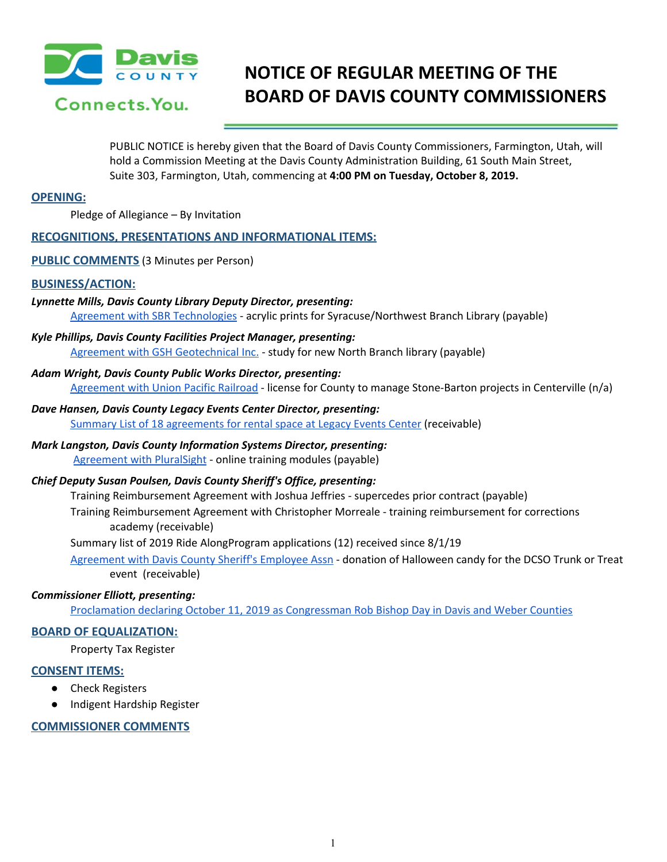

# **NOTICE OF REGULAR MEETING OF THE BOARD OF DAVIS COUNTY COMMISSIONERS**

PUBLIC NOTICE is hereby given that the Board of Davis County Commissioners, Farmington, Utah, will hold a Commission Meeting at the Davis County Administration Building, 61 South Main Street, Suite 303, Farmington, Utah, commencing at **4:00 PM on Tuesday, October 8, 2019.**

### **OPENING:**

Pledge of Allegiance – By Invitation

### **RECOGNITIONS, PRESENTATIONS AND INFORMATIONAL ITEMS:**

**PUBLIC COMMENTS** (3 Minutes per Person)

#### **BUSINESS/ACTION:**

# *Lynnette Mills, Davis County Library Deputy Director, presenting:*

Agreement with SBR [Technologies](https://drive.google.com/a/co.davis.ut.us/file/d/1d89qTrpJtsO8gSoT0c2rx03_8H1c27HD/view?usp=drivesdk) - acrylic prints for Syracuse/Northwest Branch Library (payable)

*Kyle Phillips, Davis County Facilities Project Manager, presenting:*

Agreement with GSH [Geotechnical](https://drive.google.com/a/co.davis.ut.us/file/d/1gMrU22RR7JRLB4QVB6xGtLMkUsqjYt9o/view?usp=drivesdk) Inc. - study for new North Branch library (payable)

*Adam Wright, Davis County Public Works Director, presenting:*

[Agreement](https://drive.google.com/a/co.davis.ut.us/file/d/1CF8b-9dJpXSZRPbzODOZaHgvrokV-P5L/view?usp=drivesdk) with Union Pacific Railroad - license for County to manage Stone-Barton projects in Centerville (n/a)

*Dave Hansen, Davis County Legacy Events Center Director, presenting:* Summary List of 18 [agreements](https://drive.google.com/a/co.davis.ut.us/file/d/15cHKfNusYxNSVy1o9I7y_BwyECJ5h4L6/view?usp=drivesdk) for rental space at Legacy Events Center (receivable)

### *Mark Langston, Davis County Information Systems Director, presenting:* [Agreement](https://drive.google.com/a/co.davis.ut.us/file/d/1t4FB5A7vORxU8_Qk0hj4K0DoTFE0ewtH/view?usp=drivesdk) with PluralSight - online training modules (payable)

### *Chief Deputy Susan Poulsen, Davis County Sheriff's Office, presenting:*

Training Reimbursement Agreement with Joshua Jeffries - supercedes prior contract (payable)

Training Reimbursement Agreement with Christopher Morreale - training reimbursement for corrections academy (receivable)

Summary list of 2019 Ride AlongProgram applications (12) received since 8/1/19

[Agreement](https://drive.google.com/a/co.davis.ut.us/file/d/1Q3k9AFgkTQ5jk1a0yglTnXlmJPILQwbZ/view?usp=drivesdk) with Davis County Sheriff's Employee Assn - donation of Halloween candy for the DCSO Trunk or Treat event (receivable)

## *Commissioner Elliott, presenting:*

Proclamation declaring October 11, 2019 as [Congressman](https://drive.google.com/a/co.davis.ut.us/file/d/1XQdRMrIvHIHUFnRuxX_7ZYBG9XLkRKDd/view?usp=drivesdk) Rob Bishop Day in Davis and Weber Counties

### **BOARD OF EQUALIZATION:**

Property Tax Register

### **CONSENT ITEMS:**

- **Check Registers**
- Indigent Hardship Register

### **COMMISSIONER COMMENTS**